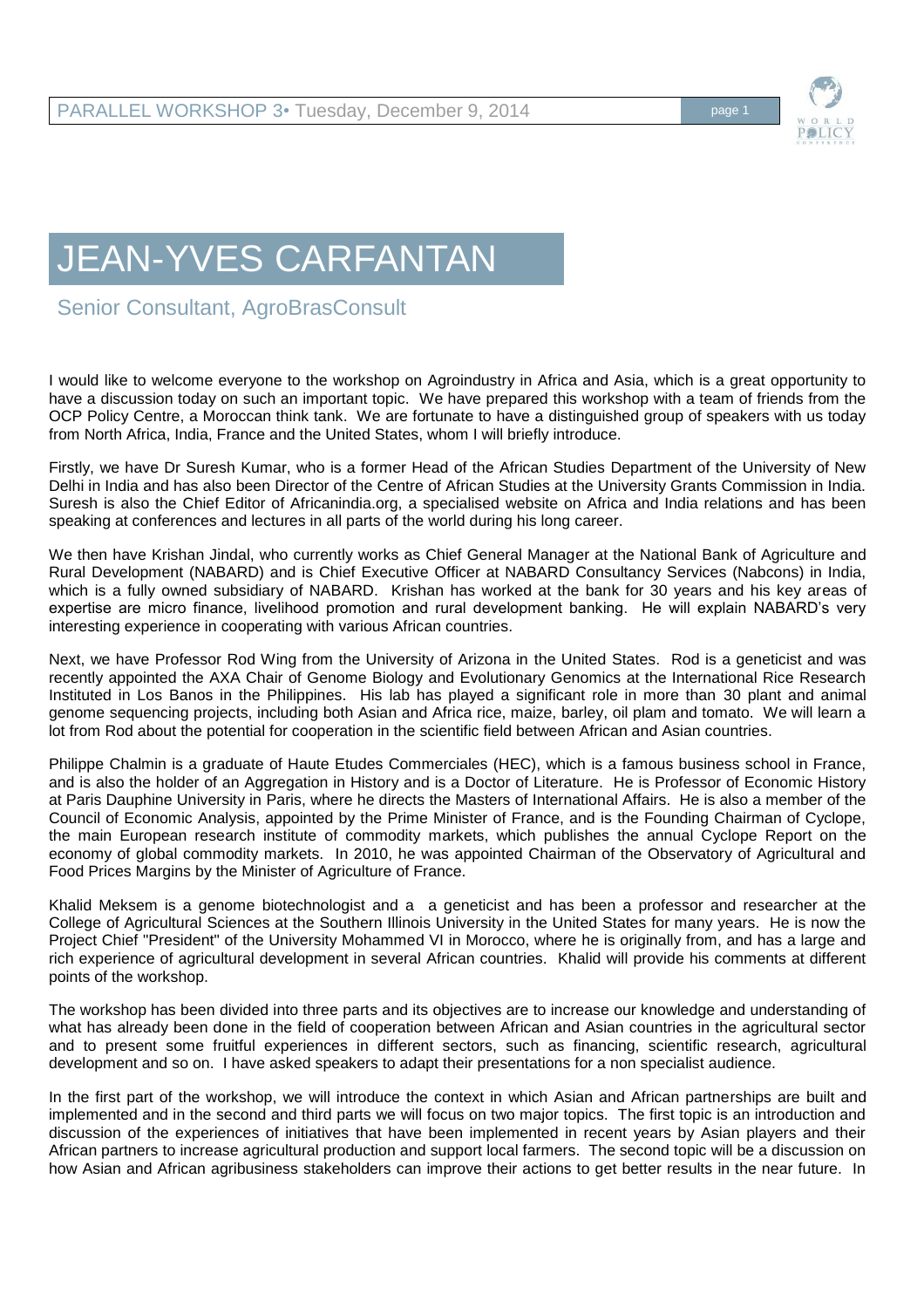

## JEAN-YVES CARFANTAN

Senior Consultant, AgroBrasConsult

I would like to welcome everyone to the workshop on Agroindustry in Africa and Asia, which is a great opportunity to have a discussion today on such an important topic. We have prepared this workshop with a team of friends from the OCP Policy Centre, a Moroccan think tank. We are fortunate to have a distinguished group of speakers with us today from North Africa, India, France and the United States, whom I will briefly introduce.

Firstly, we have Dr Suresh Kumar, who is a former Head of the African Studies Department of the University of New Delhi in India and has also been Director of the Centre of African Studies at the University Grants Commission in India. Suresh is also the Chief Editor of Africanindia.org, a specialised website on Africa and India relations and has been speaking at conferences and lectures in all parts of the world during his long career.

We then have Krishan Jindal, who currently works as Chief General Manager at the National Bank of Agriculture and Rural Development (NABARD) and is Chief Executive Officer at NABARD Consultancy Services (Nabcons) in India, which is a fully owned subsidiary of NABARD. Krishan has worked at the bank for 30 years and his key areas of expertise are micro finance, livelihood promotion and rural development banking. He will explain NABARD's very interesting experience in cooperating with various African countries.

Next, we have Professor Rod Wing from the University of Arizona in the United States. Rod is a geneticist and was recently appointed the AXA Chair of Genome Biology and Evolutionary Genomics at the International Rice Research Instituted in Los Banos in the Philippines. His lab has played a significant role in more than 30 plant and animal genome sequencing projects, including both Asian and Africa rice, maize, barley, oil plam and tomato. We will learn a lot from Rod about the potential for cooperation in the scientific field between African and Asian countries.

Philippe Chalmin is a graduate of Haute Etudes Commerciales (HEC), which is a famous business school in France, and is also the holder of an Aggregation in History and is a Doctor of Literature. He is Professor of Economic History at Paris Dauphine University in Paris, where he directs the Masters of International Affairs. He is also a member of the Council of Economic Analysis, appointed by the Prime Minister of France, and is the Founding Chairman of Cyclope, the main European research institute of commodity markets, which publishes the annual Cyclope Report on the economy of global commodity markets. In 2010, he was appointed Chairman of the Observatory of Agricultural and Food Prices Margins by the Minister of Agriculture of France.

Khalid Meksem is a genome biotechnologist and a a geneticist and has been a professor and researcher at the College of Agricultural Sciences at the Southern Illinois University in the United States for many years. He is now the Project Chief "President" of the University Mohammed VI in Morocco, where he is originally from, and has a large and rich experience of agricultural development in several African countries. Khalid will provide his comments at different points of the workshop.

The workshop has been divided into three parts and its objectives are to increase our knowledge and understanding of what has already been done in the field of cooperation between African and Asian countries in the agricultural sector and to present some fruitful experiences in different sectors, such as financing, scientific research, agricultural development and so on. I have asked speakers to adapt their presentations for a non specialist audience.

In the first part of the workshop, we will introduce the context in which Asian and African partnerships are built and implemented and in the second and third parts we will focus on two major topics. The first topic is an introduction and discussion of the experiences of initiatives that have been implemented in recent years by Asian players and their African partners to increase agricultural production and support local farmers. The second topic will be a discussion on how Asian and African agribusiness stakeholders can improve their actions to get better results in the near future. In